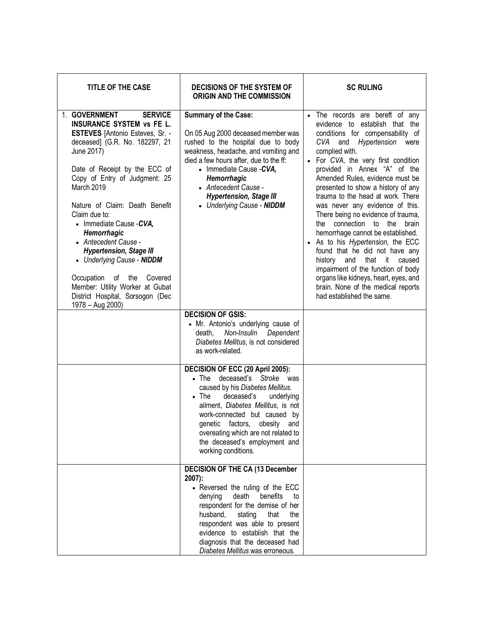| <b>TITLE OF THE CASE</b>                                                                                                                                                                                                                                                                                                                                                                                                                                                                                                                                    | <b>DECISIONS OF THE SYSTEM OF</b><br><b>ORIGIN AND THE COMMISSION</b>                                                                                                                                                                                                                                                                                                     | <b>SC RULING</b>                                                                                                                                                                                                                                                                                                                                                                                                                                                                                                                                                                                                                                                                                                                                     |
|-------------------------------------------------------------------------------------------------------------------------------------------------------------------------------------------------------------------------------------------------------------------------------------------------------------------------------------------------------------------------------------------------------------------------------------------------------------------------------------------------------------------------------------------------------------|---------------------------------------------------------------------------------------------------------------------------------------------------------------------------------------------------------------------------------------------------------------------------------------------------------------------------------------------------------------------------|------------------------------------------------------------------------------------------------------------------------------------------------------------------------------------------------------------------------------------------------------------------------------------------------------------------------------------------------------------------------------------------------------------------------------------------------------------------------------------------------------------------------------------------------------------------------------------------------------------------------------------------------------------------------------------------------------------------------------------------------------|
| 1. GOVERNMENT<br><b>SERVICE</b><br><b>INSURANCE SYSTEM vs FE L.</b><br><b>ESTEVES</b> [Antonio Esteves, Sr. -<br>deceased] (G.R. No. 182297, 21<br>June 2017)<br>Date of Receipt by the ECC of<br>Copy of Entry of Judgment: 25<br>March 2019<br>Nature of Claim: Death Benefit<br>Claim due to:<br>• Immediate Cause - CVA,<br>Hemorrhagic<br>• Antecedent Cause -<br><b>Hypertension, Stage III</b><br>• Underlying Cause - NIDDM<br>Occupation of the Covered<br>Member: Utility Worker at Gubat<br>District Hospital, Sorsogon (Dec<br>1978 - Aug 2000) | <b>Summary of the Case:</b><br>On 05 Aug 2000 deceased member was<br>rushed to the hospital due to body<br>weakness, headache, and vomiting and<br>died a few hours after, due to the ff:<br>• Immediate Cause - CVA,<br>Hemorrhagic<br>• Antecedent Cause -<br><b>Hypertension, Stage III</b><br>• Underlying Cause - NIDDM                                              | • The records are bereft of any<br>evidence to establish that the<br>conditions for compensability of<br>CVA and Hypertension<br>were<br>complied with.<br>• For CVA, the very first condition<br>provided in Annex "A" of the<br>Amended Rules, evidence must be<br>presented to show a history of any<br>trauma to the head at work. There<br>was never any evidence of this.<br>There being no evidence of trauma,<br>the connection to the<br>brain<br>hemorrhage cannot be established.<br>As to his Hypertension, the ECC<br>found that he did not have any<br>history and that it<br>caused<br>impairment of the function of body<br>organs like kidneys, heart, eyes, and<br>brain. None of the medical reports<br>had established the same. |
|                                                                                                                                                                                                                                                                                                                                                                                                                                                                                                                                                             | <b>DECISION OF GSIS:</b><br>• Mr. Antonio's underlying cause of<br>Non-Insulin<br>Dependent<br>death,<br>Diabetes Mellitus, is not considered<br>as work-related.                                                                                                                                                                                                         |                                                                                                                                                                                                                                                                                                                                                                                                                                                                                                                                                                                                                                                                                                                                                      |
|                                                                                                                                                                                                                                                                                                                                                                                                                                                                                                                                                             | DECISION OF ECC (20 April 2005):<br>deceased's Stroke was<br>$\bullet$ The<br>caused by his Diabetes Mellitus.<br>$\bullet$ The<br>deceased's<br>underlying<br>ailment, Diabetes Mellitus, is not<br>work-connected but caused by<br>genetic<br>factors,<br>obesity<br>and<br>overeating which are not related to<br>the deceased's employment and<br>working conditions. |                                                                                                                                                                                                                                                                                                                                                                                                                                                                                                                                                                                                                                                                                                                                                      |
|                                                                                                                                                                                                                                                                                                                                                                                                                                                                                                                                                             | <b>DECISION OF THE CA (13 December</b><br>$2007$ :<br>• Reversed the ruling of the ECC<br>death<br>benefits<br>denying<br>to<br>respondent for the demise of her<br>husband,<br>stating<br>that<br>the<br>respondent was able to present<br>evidence to establish that the<br>diagnosis that the deceased had<br>Diabetes Mellitus was erroneous.                         |                                                                                                                                                                                                                                                                                                                                                                                                                                                                                                                                                                                                                                                                                                                                                      |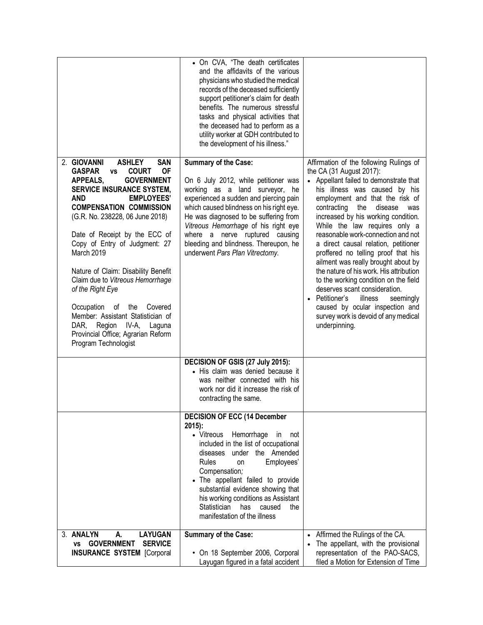|                                                                                                                                                                                                                                                                                                                                                                                                                                                                                                                                                                                                                                         | • On CVA, "The death certificates<br>and the affidavits of the various<br>physicians who studied the medical<br>records of the deceased sufficiently<br>support petitioner's claim for death<br>benefits. The numerous stressful<br>tasks and physical activities that<br>the deceased had to perform as a<br>utility worker at GDH contributed to<br>the development of his illness."        |                                                                                                                                                                                                                                                                                                                                                                                                                                                                                                                                                                                                                                                                                                                                     |
|-----------------------------------------------------------------------------------------------------------------------------------------------------------------------------------------------------------------------------------------------------------------------------------------------------------------------------------------------------------------------------------------------------------------------------------------------------------------------------------------------------------------------------------------------------------------------------------------------------------------------------------------|-----------------------------------------------------------------------------------------------------------------------------------------------------------------------------------------------------------------------------------------------------------------------------------------------------------------------------------------------------------------------------------------------|-------------------------------------------------------------------------------------------------------------------------------------------------------------------------------------------------------------------------------------------------------------------------------------------------------------------------------------------------------------------------------------------------------------------------------------------------------------------------------------------------------------------------------------------------------------------------------------------------------------------------------------------------------------------------------------------------------------------------------------|
| 2. GIOVANNI<br><b>ASHLEY</b><br><b>SAN</b><br><b>COURT</b><br><b>GASPAR</b><br><b>OF</b><br><b>VS</b><br><b>APPEALS,</b><br><b>GOVERNMENT</b><br><b>SERVICE INSURANCE SYSTEM,</b><br><b>AND</b><br><b>EMPLOYEES'</b><br><b>COMPENSATION COMMISSION</b><br>(G.R. No. 238228, 06 June 2018)<br>Date of Receipt by the ECC of<br>Copy of Entry of Judgment: 27<br>March 2019<br>Nature of Claim: Disability Benefit<br>Claim due to Vitreous Hemorrhage<br>of the Right Eye<br>Occupation of the Covered<br>Member: Assistant Statistician of<br>DAR, Region IV-A,<br>Laguna<br>Provincial Office; Agrarian Reform<br>Program Technologist | Summary of the Case:<br>On 6 July 2012, while petitioner was<br>working as a land surveyor,<br>he<br>experienced a sudden and piercing pain<br>which caused blindness on his right eye.<br>He was diagnosed to be suffering from<br>Vitreous Hemorrhage of his right eye<br>where a nerve ruptured causing<br>bleeding and blindness. Thereupon, he<br>underwent Pars Plan Vitrectomy.        | Affirmation of the following Rulings of<br>the CA (31 August 2017):<br>• Appellant failed to demonstrate that<br>his illness was caused by his<br>employment and that the risk of<br>contracting<br>the<br>disease<br>was<br>increased by his working condition.<br>While the law requires only a<br>reasonable work-connection and not<br>a direct causal relation, petitioner<br>proffered no telling proof that his<br>ailment was really brought about by<br>the nature of his work. His attribution<br>to the working condition on the field<br>deserves scant consideration.<br>Petitioner's<br>illness<br>seemingly<br>$\bullet$<br>caused by ocular inspection and<br>survey work is devoid of any medical<br>underpinning. |
|                                                                                                                                                                                                                                                                                                                                                                                                                                                                                                                                                                                                                                         | DECISION OF GSIS (27 July 2015):<br>• His claim was denied because it<br>was neither connected with his<br>work nor did it increase the risk of<br>contracting the same.                                                                                                                                                                                                                      |                                                                                                                                                                                                                                                                                                                                                                                                                                                                                                                                                                                                                                                                                                                                     |
|                                                                                                                                                                                                                                                                                                                                                                                                                                                                                                                                                                                                                                         | <b>DECISION OF ECC (14 December</b><br>$2015$ :<br>• Vitreous Hemorrhage<br>in not<br>included in the list of occupational<br>diseases under the Amended<br>Rules<br>Employees'<br>on<br>Compensation;<br>The appellant failed to provide<br>substantial evidence showing that<br>his working conditions as Assistant<br>Statistician<br>has<br>caused<br>the<br>manifestation of the illness |                                                                                                                                                                                                                                                                                                                                                                                                                                                                                                                                                                                                                                                                                                                                     |
| 3. ANALYN<br><b>LAYUGAN</b><br>А.<br><b>GOVERNMENT</b><br><b>SERVICE</b><br>VS<br><b>INSURANCE SYSTEM [Corporal</b>                                                                                                                                                                                                                                                                                                                                                                                                                                                                                                                     | <b>Summary of the Case:</b><br>• On 18 September 2006, Corporal<br>Layugan figured in a fatal accident                                                                                                                                                                                                                                                                                        | Affirmed the Rulings of the CA.<br>$\bullet$<br>The appellant, with the provisional<br>representation of the PAO-SACS,<br>filed a Motion for Extension of Time                                                                                                                                                                                                                                                                                                                                                                                                                                                                                                                                                                      |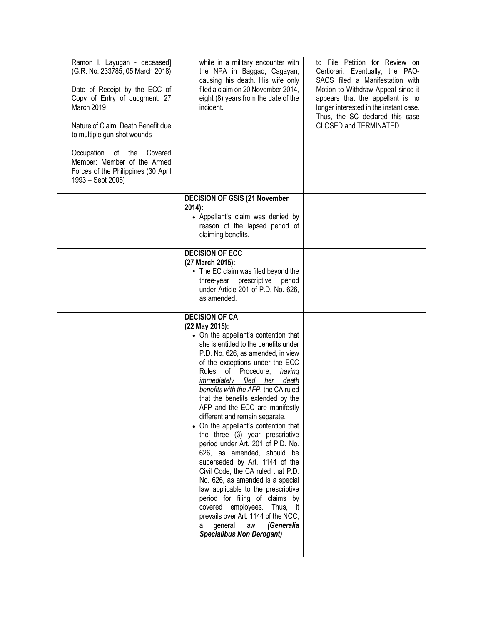| Ramon I. Layugan - deceased]<br>(G.R. No. 233785, 05 March 2018)<br>Date of Receipt by the ECC of<br>Copy of Entry of Judgment: 27<br>March 2019<br>Nature of Claim: Death Benefit due<br>to multiple gun shot wounds<br>Occupation<br>Covered<br>of<br>the<br>Member: Member of the Armed<br>Forces of the Philippines (30 April<br>1993 – Sept 2006) | while in a military encounter with<br>the NPA in Baggao, Cagayan,<br>causing his death. His wife only<br>filed a claim on 20 November 2014,<br>eight (8) years from the date of the<br>incident.                                                                                                                                                                                                                                                                                                                                                                                                                                                                                                                                                                                                                                                                                                   | to File Petition for Review on<br>Certiorari. Eventually, the PAO-<br>SACS filed a Manifestation with<br>Motion to Withdraw Appeal since it<br>appears that the appellant is no<br>longer interested in the instant case.<br>Thus, the SC declared this case<br>CLOSED and TERMINATED. |
|--------------------------------------------------------------------------------------------------------------------------------------------------------------------------------------------------------------------------------------------------------------------------------------------------------------------------------------------------------|----------------------------------------------------------------------------------------------------------------------------------------------------------------------------------------------------------------------------------------------------------------------------------------------------------------------------------------------------------------------------------------------------------------------------------------------------------------------------------------------------------------------------------------------------------------------------------------------------------------------------------------------------------------------------------------------------------------------------------------------------------------------------------------------------------------------------------------------------------------------------------------------------|----------------------------------------------------------------------------------------------------------------------------------------------------------------------------------------------------------------------------------------------------------------------------------------|
|                                                                                                                                                                                                                                                                                                                                                        | <b>DECISION OF GSIS (21 November</b><br>$2014$ :                                                                                                                                                                                                                                                                                                                                                                                                                                                                                                                                                                                                                                                                                                                                                                                                                                                   |                                                                                                                                                                                                                                                                                        |
|                                                                                                                                                                                                                                                                                                                                                        | • Appellant's claim was denied by<br>reason of the lapsed period of<br>claiming benefits.                                                                                                                                                                                                                                                                                                                                                                                                                                                                                                                                                                                                                                                                                                                                                                                                          |                                                                                                                                                                                                                                                                                        |
|                                                                                                                                                                                                                                                                                                                                                        | <b>DECISION OF ECC</b><br>(27 March 2015):<br>• The EC claim was filed beyond the<br>three-year prescriptive<br>period<br>under Article 201 of P.D. No. 626,<br>as amended.                                                                                                                                                                                                                                                                                                                                                                                                                                                                                                                                                                                                                                                                                                                        |                                                                                                                                                                                                                                                                                        |
|                                                                                                                                                                                                                                                                                                                                                        | <b>DECISION OF CA</b><br>(22 May 2015):<br>• On the appellant's contention that<br>she is entitled to the benefits under<br>P.D. No. 626, as amended, in view<br>of the exceptions under the ECC<br>Rules of Procedure,<br>having<br>immediately filed her death<br>benefits with the AFP, the CA ruled<br>that the benefits extended by the<br>AFP and the ECC are manifestly<br>different and remain separate.<br>• On the appellant's contention that<br>the three (3) year prescriptive<br>period under Art. 201 of P.D. No.<br>626, as amended, should be<br>superseded by Art. 1144 of the<br>Civil Code, the CA ruled that P.D.<br>No. 626, as amended is a special<br>law applicable to the prescriptive<br>period for filing of claims by<br>covered employees. Thus, it<br>prevails over Art. 1144 of the NCC,<br>(Generalia<br>general<br>law.<br>а<br><b>Specialibus Non Derogant)</b> |                                                                                                                                                                                                                                                                                        |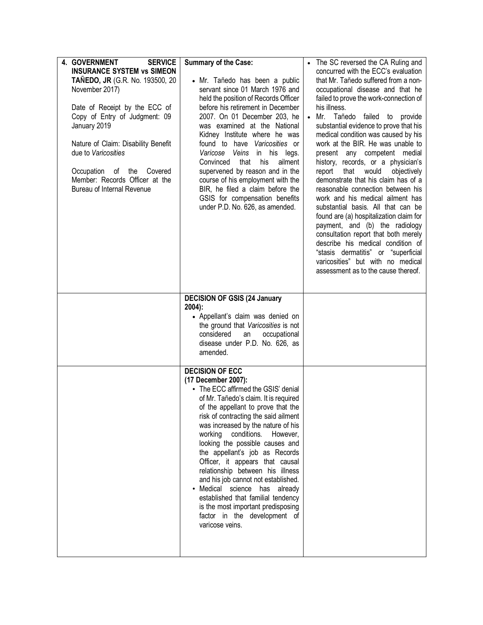| <b>4. GOVERNMENT</b><br><b>SERVICE</b><br><b>INSURANCE SYSTEM vs SIMEON</b><br><b>TAÑEDO, JR</b> (G.R. No. 193500, 20<br>November 2017)<br>Date of Receipt by the ECC of<br>Copy of Entry of Judgment: 09<br>January 2019<br>Nature of Claim: Disability Benefit<br>due to Varicosities<br>Occupation<br>Covered<br>of the<br>Member: Records Officer at the<br>Bureau of Internal Revenue | <b>Summary of the Case:</b><br>· Mr. Tañedo has been a public<br>servant since 01 March 1976 and<br>held the position of Records Officer<br>before his retirement in December<br>2007. On 01 December 203, he<br>was examined at the National<br>Kidney Institute where he was<br>found to have Varicosities or<br>Veins<br>in his legs.<br>Varicose<br>that<br>his<br>ailment<br>Convinced<br>supervened by reason and in the<br>course of his employment with the<br>BIR, he filed a claim before the<br>GSIS for compensation benefits<br>under P.D. No. 626, as amended.                                                                        | The SC reversed the CA Ruling and<br>concurred with the ECC's evaluation<br>that Mr. Tañedo suffered from a non-<br>occupational disease and that he<br>failed to prove the work-connection of<br>his illness.<br>Mr. Tañedo<br>failed to<br>provide<br>substantial evidence to prove that his<br>medical condition was caused by his<br>work at the BIR. He was unable to<br>present any competent medial<br>history, records, or a physician's<br>that<br>would<br>objectively<br>report<br>demonstrate that his claim has of a<br>reasonable connection between his<br>work and his medical ailment has<br>substantial basis. All that can be<br>found are (a) hospitalization claim for<br>payment, and (b) the radiology<br>consultation report that both merely<br>describe his medical condition of<br>"stasis dermatitis" or "superficial<br>varicosities" but with no medical<br>assessment as to the cause thereof. |
|--------------------------------------------------------------------------------------------------------------------------------------------------------------------------------------------------------------------------------------------------------------------------------------------------------------------------------------------------------------------------------------------|-----------------------------------------------------------------------------------------------------------------------------------------------------------------------------------------------------------------------------------------------------------------------------------------------------------------------------------------------------------------------------------------------------------------------------------------------------------------------------------------------------------------------------------------------------------------------------------------------------------------------------------------------------|-------------------------------------------------------------------------------------------------------------------------------------------------------------------------------------------------------------------------------------------------------------------------------------------------------------------------------------------------------------------------------------------------------------------------------------------------------------------------------------------------------------------------------------------------------------------------------------------------------------------------------------------------------------------------------------------------------------------------------------------------------------------------------------------------------------------------------------------------------------------------------------------------------------------------------|
|                                                                                                                                                                                                                                                                                                                                                                                            | <b>DECISION OF GSIS (24 January</b><br>$2004$ :<br>• Appellant's claim was denied on<br>the ground that Varicosities is not<br>considered<br>occupational<br>an<br>disease under P.D. No. 626, as                                                                                                                                                                                                                                                                                                                                                                                                                                                   |                                                                                                                                                                                                                                                                                                                                                                                                                                                                                                                                                                                                                                                                                                                                                                                                                                                                                                                               |
|                                                                                                                                                                                                                                                                                                                                                                                            | amended.<br><b>DECISION OF ECC</b><br>(17 December 2007):<br>• The ECC affirmed the GSIS' denial<br>of Mr. Tañedo's claim. It is required<br>of the appellant to prove that the<br>risk of contracting the said ailment<br>was increased by the nature of his<br>working conditions.<br>However,<br>looking the possible causes and<br>the appellant's job as Records<br>Officer, it appears that causal<br>relationship between his illness<br>and his job cannot not established.<br>· Medical science has already<br>established that familial tendency<br>is the most important predisposing<br>factor in the development of<br>varicose veins. |                                                                                                                                                                                                                                                                                                                                                                                                                                                                                                                                                                                                                                                                                                                                                                                                                                                                                                                               |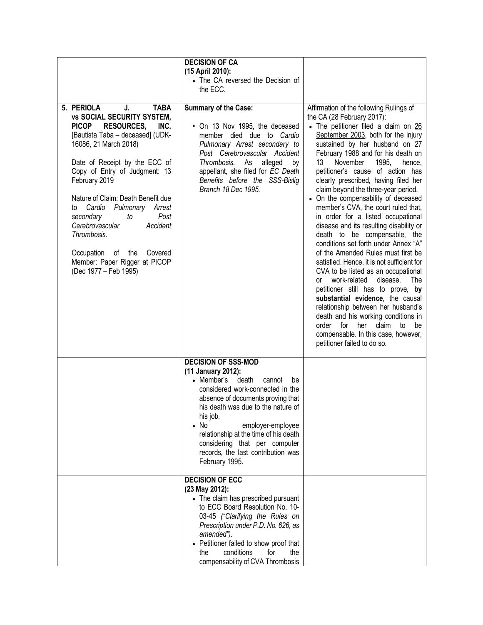| 5. PERIOLA<br><b>TABA</b><br>J.<br><b>vs SOCIAL SECURITY SYSTEM,</b><br><b>PICOP</b><br><b>RESOURCES,</b><br>INC.<br>[Bautista Taba - deceased] (UDK-                                                                                                                                                                                                       | <b>DECISION OF CA</b><br>(15 April 2010):<br>• The CA reversed the Decision of<br>the ECC.<br><b>Summary of the Case:</b><br>• On 13 Nov 1995, the deceased<br>member died due to Cardio                                                                                                                                                                                                  | Affirmation of the following Rulings of<br>the CA (28 February 2017):<br>• The petitioner filed a claim on 26<br>September 2003, both for the injury                                                                                                                                                                                                                                                                                                                                                                                                                                                                                                                                                                                                                                                                                                                                                         |
|-------------------------------------------------------------------------------------------------------------------------------------------------------------------------------------------------------------------------------------------------------------------------------------------------------------------------------------------------------------|-------------------------------------------------------------------------------------------------------------------------------------------------------------------------------------------------------------------------------------------------------------------------------------------------------------------------------------------------------------------------------------------|--------------------------------------------------------------------------------------------------------------------------------------------------------------------------------------------------------------------------------------------------------------------------------------------------------------------------------------------------------------------------------------------------------------------------------------------------------------------------------------------------------------------------------------------------------------------------------------------------------------------------------------------------------------------------------------------------------------------------------------------------------------------------------------------------------------------------------------------------------------------------------------------------------------|
| 16086, 21 March 2018)<br>Date of Receipt by the ECC of<br>Copy of Entry of Judgment: 13<br>February 2019<br>Nature of Claim: Death Benefit due<br>Cardio<br>Pulmonary Arrest<br>to<br>Post<br>secondary<br>to<br>Cerebrovascular<br>Accident<br>Thrombosis.<br>Occupation<br>of<br>the<br>Covered<br>Member: Paper Rigger at PICOP<br>(Dec 1977 – Feb 1995) | Pulmonary Arrest secondary to<br>Post Cerebrovascular Accident<br>Thrombosis.<br>As<br>alleged<br>by<br>appellant, she filed for EC Death<br>Benefits before the SSS-Bislig<br>Branch 18 Dec 1995.                                                                                                                                                                                        | sustained by her husband on 27<br>February 1988 and for his death on<br>13<br>November<br>1995,<br>hence,<br>petitioner's cause of action has<br>clearly prescribed, having filed her<br>claim beyond the three-year period.<br>• On the compensability of deceased<br>member's CVA, the court ruled that,<br>in order for a listed occupational<br>disease and its resulting disability or<br>death to be compensable, the<br>conditions set forth under Annex "A"<br>of the Amended Rules must first be<br>satisfied. Hence, it is not sufficient for<br>CVA to be listed as an occupational<br>work-related<br>disease.<br>The<br>or<br>petitioner still has to prove, by<br>substantial evidence, the causal<br>relationship between her husband's<br>death and his working conditions in<br>order for<br>claim<br>her<br>to<br>be<br>compensable. In this case, however,<br>petitioner failed to do so. |
|                                                                                                                                                                                                                                                                                                                                                             | <b>DECISION OF SSS-MOD</b><br>(11 January 2012):<br>• Member's<br>death<br>cannot<br>be<br>considered work-connected in the<br>absence of documents proving that<br>his death was due to the nature of<br>his job.<br>$\bullet$ No<br>employer-employee<br>relationship at the time of his death<br>considering that per computer<br>records, the last contribution was<br>February 1995. |                                                                                                                                                                                                                                                                                                                                                                                                                                                                                                                                                                                                                                                                                                                                                                                                                                                                                                              |
|                                                                                                                                                                                                                                                                                                                                                             | <b>DECISION OF ECC</b><br>(23 May 2012):<br>• The claim has prescribed pursuant<br>to ECC Board Resolution No. 10-<br>03-45 ("Clarifying the Rules on<br>Prescription under P.D. No. 626, as<br>amended").<br>• Petitioner failed to show proof that<br>conditions<br>for<br>the<br>the<br>compensability of CVA Thrombosis                                                               |                                                                                                                                                                                                                                                                                                                                                                                                                                                                                                                                                                                                                                                                                                                                                                                                                                                                                                              |